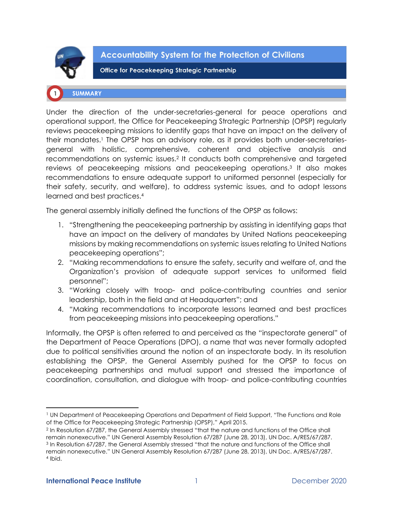

**Accountability System for the Protection of Civilians** 

**Office for Peacekeeping Strategic Partnership** 

## **SUMMARY**

Under the direction of the under-secretaries-general for peace operations and operational support, the Office for Peacekeeping Strategic Partnership (OPSP) regularly reviews peacekeeping missions to identify gaps that have an impact on the delivery of their mandates.<sup>1</sup> The OPSP has an advisory role, as it provides both under-secretariesgeneral with holistic, comprehensive, coherent and objective analysis and recommendations on systemic issues.<sup>2</sup> It conducts both comprehensive and targeted reviews of peacekeeping missions and peacekeeping operations. 3 It also makes recommendations to ensure adequate support to uniformed personnel (especially for their safety, security, and welfare), to address systemic issues, and to adopt lessons learned and best practices.<sup>4</sup>

The general assembly initially defined the functions of the OPSP as follows:

- 1. "Strengthening the peacekeeping partnership by assisting in identifying gaps that have an impact on the delivery of mandates by United Nations peacekeeping missions by making recommendations on systemic issues relating to United Nations peacekeeping operations";
- 2. "Making recommendations to ensure the safety, security and welfare of, and the Organization's provision of adequate support services to uniformed field personnel";
- 3. "Working closely with troop- and police-contributing countries and senior leadership, both in the field and at Headquarters"; and
- 4. "Making recommendations to incorporate lessons learned and best practices from peacekeeping missions into peacekeeping operations."

Informally, the OPSP is often referred to and perceived as the "inspectorate general" of the Department of Peace Operations (DPO), a name that was never formally adopted due to political sensitivities around the notion of an inspectorate body. In its resolution establishing the OPSP, the General Assembly pushed for the OPSP to focus on peacekeeping partnerships and mutual support and stressed the importance of coordination, consultation, and dialogue with troop- and police-contributing countries

<sup>1</sup> UN Department of Peacekeeping Operations and Department of Field Support, "The Functions and Role of the Office for Peacekeeping Strategic Partnership (OPSP)," April 2015.

<sup>2</sup> In Resolution 67/287, the General Assembly stressed "that the nature and functions of the Office shall remain nonexecutive." UN General Assembly Resolution 67/287 (June 28, 2013), UN Doc. A/RES/67/287. <sup>3</sup> In Resolution 67/287, the General Assembly stressed "that the nature and functions of the Office shall remain nonexecutive." UN General Assembly Resolution 67/287 (June 28, 2013), UN Doc. A/RES/67/287. 4 Ibid.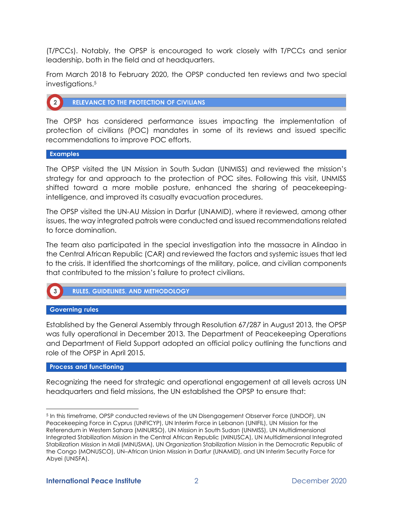(T/PCCs). Notably, the OPSP is encouraged to work closely with T/PCCs and senior leadership, both in the field and at headquarters.

From March 2018 to February 2020, the OPSP conducted ten reviews and two special investigations.<sup>5</sup>



**RELEVANCE TO THE PROTECTION OF CIVILIANS** 

The OPSP has considered performance issues impacting the implementation of protection of civilians (POC) mandates in some of its reviews and issued specific recommendations to improve POC efforts.

**Examples** 

The OPSP visited the UN Mission in South Sudan (UNMISS) and reviewed the mission's strategy for and approach to the protection of POC sites. Following this visit, UNMISS shifted toward a more mobile posture, enhanced the sharing of peacekeepingintelligence, and improved its casualty evacuation procedures.

The OPSP visited the UN-AU Mission in Darfur (UNAMID), where it reviewed, among other issues, the way integrated patrols were conducted and issued recommendations related to force domination.

The team also participated in the special investigation into the massacre in Alindao in the Central African Republic (CAR) and reviewed the factors and systemic issues that led to the crisis. It identified the shortcomings of the military, police, and civilian components that contributed to the mission's failure to protect civilians.



**Governing rules** 

Established by the General Assembly through Resolution 67/287 in August 2013, the OPSP was fully operational in December 2013. The Department of Peacekeeping Operations and Department of Field Support adopted an official policy outlining the functions and role of the OPSP in April 2015.

## **Process and functioning**

Recognizing the need for strategic and operational engagement at all levels across UN headquarters and field missions, the UN established the OPSP to ensure that:

<sup>&</sup>lt;sup>5</sup> In this timeframe, OPSP conducted reviews of the UN Disengagement Observer Force (UNDOF), UN Peacekeeping Force in Cyprus (UNFICYP), UN Interim Force in Lebanon (UNIFIL), UN Mission for the Referendum in Western Sahara (MINURSO), UN Mission in South Sudan (UNMISS), UN Multidimensional Integrated Stabilization Mission in the Central African Republic (MINUSCA), UN Multidimensional Integrated Stabilization Mission in Mali (MINUSMA), UN Organization Stabilization Mission in the Democratic Republic of the Congo (MONUSCO), UN–African Union Mission in Darfur (UNAMID), and UN Interim Security Force for Abyei (UNISFA).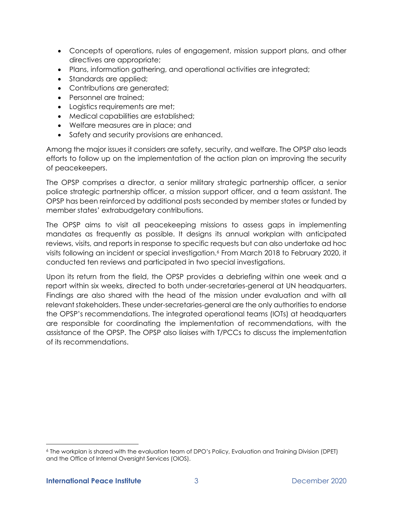- Concepts of operations, rules of engagement, mission support plans, and other directives are appropriate;
- Plans, information gathering, and operational activities are integrated;
- Standards are applied;
- Contributions are generated;
- Personnel are trained;
- Logistics requirements are met;
- Medical capabilities are established;
- Welfare measures are in place; and
- Safety and security provisions are enhanced.

Among the major issues it considers are safety, security, and welfare. The OPSP also leads efforts to follow up on the implementation of the action plan on improving the security of peacekeepers.

The OPSP comprises a director, a senior military strategic partnership officer, a senior police strategic partnership officer, a mission support officer, and a team assistant. The OPSP has been reinforced by additional posts seconded by member states or funded by member states' extrabudgetary contributions.

The OPSP aims to visit all peacekeeping missions to assess gaps in implementing mandates as frequently as possible. It designs its annual workplan with anticipated reviews, visits, and reports in response to specific requests but can also undertake ad hoc visits following an incident or special investigation.<sup>6</sup> From March 2018 to February 2020, it conducted ten reviews and participated in two special investigations.

Upon its return from the field, the OPSP provides a debriefing within one week and a report within six weeks, directed to both under-secretaries-general at UN headquarters. Findings are also shared with the head of the mission under evaluation and with all relevant stakeholders. These under-secretaries-general are the only authorities to endorse the OPSP's recommendations. The integrated operational teams (IOTs) at headquarters are responsible for coordinating the implementation of recommendations, with the assistance of the OPSP. The OPSP also liaises with T/PCCs to discuss the implementation of its recommendations.

<sup>6</sup> The workplan is shared with the evaluation team of DPO's Policy, Evaluation and Training Division (DPET) and the Office of Internal Oversight Services (OIOS).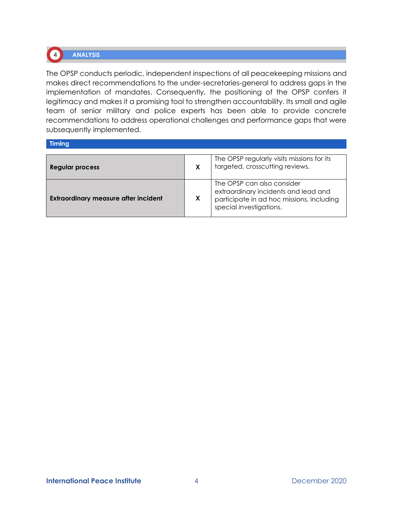# **ANALYSIS**

The OPSP conducts periodic, independent inspections of all peacekeeping missions and makes direct recommendations to the under-secretaries-general to address gaps in the implementation of mandates. Consequently, the positioning of the OPSP confers it legitimacy and makes it a promising tool to strengthen accountability. Its small and agile team of senior military and police experts has been able to provide concrete recommendations to address operational challenges and performance gaps that were subsequently implemented.

## Timing

 $\begin{pmatrix} 4 \end{pmatrix}$ 

| <b>Regular process</b>                      |   | The OPSP regularly visits missions for its<br>targeted, crosscutting reviews.                                                              |
|---------------------------------------------|---|--------------------------------------------------------------------------------------------------------------------------------------------|
| <b>Extraordinary measure after incident</b> | X | The OPSP can also consider<br>extraordinary incidents and lead and<br>participate in ad hoc missions, including<br>special investigations. |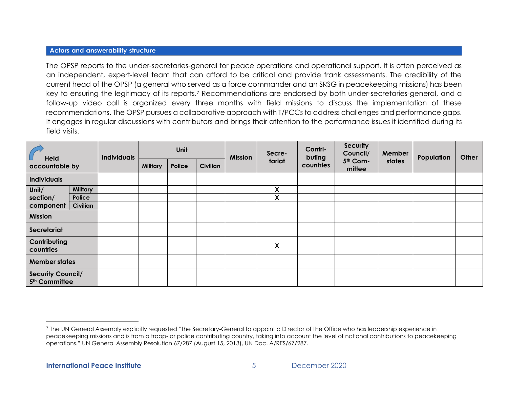## **Actors and answerability structure**

The OPSP reports to the under-secretaries-general for peace operations and operational support. It is often perceived as an independent, expert-level team that can afford to be critical and provide frank assessments. The credibility of the current head of the OPSP (a general who served as a force commander and an SRSG in peacekeeping missions) has been key to ensuring the legitimacy of its reports.<sup>7</sup> Recommendations are endorsed by both under-secretaries-general, and a follow-up video call is organized every three months with field missions to discuss the implementation of these recommendations. The OPSP pursues a collaborative approach with T/PCCs to address challenges and performance gaps. It engages in regular discussions with contributors and brings their attention to the performance issues it identified during its field visits.

| <b>Held</b><br>accountable by                         |                 | <b>Individuals</b> | Unit            |        |          | <b>Mission</b> | Secre- | Contri-<br>buting | <b>Security</b><br>Council/ | Member | Population | Other |
|-------------------------------------------------------|-----------------|--------------------|-----------------|--------|----------|----------------|--------|-------------------|-----------------------------|--------|------------|-------|
|                                                       |                 |                    | <b>Military</b> | Police | Civilian |                | tariat | countries         | 5th Com-<br>mittee          | states |            |       |
| <b>Individuals</b>                                    |                 |                    |                 |        |          |                |        |                   |                             |        |            |       |
| Unit/                                                 | <b>Military</b> |                    |                 |        |          |                | X      |                   |                             |        |            |       |
| section/                                              | Police          |                    |                 |        |          |                | X      |                   |                             |        |            |       |
| component                                             | <b>Civilian</b> |                    |                 |        |          |                |        |                   |                             |        |            |       |
| Mission                                               |                 |                    |                 |        |          |                |        |                   |                             |        |            |       |
| Secretariat                                           |                 |                    |                 |        |          |                |        |                   |                             |        |            |       |
| Contributing<br>countries                             |                 |                    |                 |        |          |                | X      |                   |                             |        |            |       |
| <b>Member states</b>                                  |                 |                    |                 |        |          |                |        |                   |                             |        |            |       |
| <b>Security Council/</b><br>5 <sup>th</sup> Committee |                 |                    |                 |        |          |                |        |                   |                             |        |            |       |

<sup>7</sup> The UN General Assembly explicitly requested "the Secretary-General to appoint a Director of the Office who has leadership experience in peacekeeping missions and is from a troop- or police contributing country, taking into account the level of national contributions to peacekeeping operations." UN General Assembly Resolution 67/287 (August 15, 2013), UN Doc. A/RES/67/287.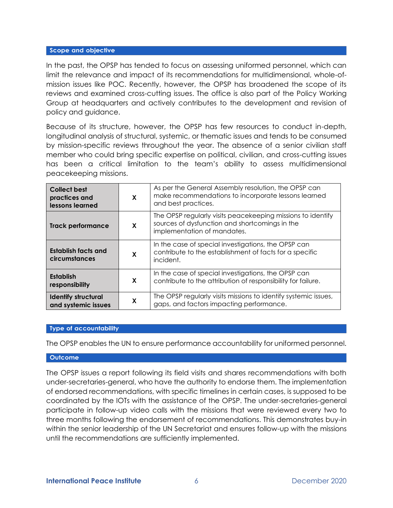## Scope and objective

In the past, the OPSP has tended to focus on assessing uniformed personnel, which can limit the relevance and impact of its recommendations for multidimensional, whole-ofmission issues like POC. Recently, however, the OPSP has broadened the scope of its reviews and examined cross-cutting issues. The office is also part of the Policy Working Group at headquarters and actively contributes to the development and revision of policy and guidance.

Because of its structure, however, the OPSP has few resources to conduct in-depth, longitudinal analysis of structural, systemic, or thematic issues and tends to be consumed by mission-specific reviews throughout the year. The absence of a senior civilian staff member who could bring specific expertise on political, civilian, and cross-cutting issues has been a critical limitation to the team's ability to assess multidimensional peacekeeping missions.

| <b>Collect best</b><br>practices and<br>lessons learned | X | As per the General Assembly resolution, the OPSP can<br>make recommendations to incorporate lessons learned<br>and best practices.           |
|---------------------------------------------------------|---|----------------------------------------------------------------------------------------------------------------------------------------------|
| <b>Track performance</b>                                | X | The OPSP regularly visits peacekeeping missions to identify<br>sources of dysfunction and shortcomings in the<br>implementation of mandates. |
| <b>Establish facts and</b><br>circumstances             | X | In the case of special investigations, the OPSP can<br>contribute to the establishment of facts for a specific<br>incident.                  |
| <b>Establish</b><br>responsibility                      | X | In the case of special investigations, the OPSP can<br>contribute to the attribution of responsibility for failure.                          |
| <b>Identify structural</b><br>and systemic issues       | X | The OPSP regularly visits missions to identify systemic issues,<br>gaps, and factors impacting performance.                                  |

## **Type of accountability**

The OPSP enables the UN to ensure performance accountability for uniformed personnel.

#### **Outcome**

The OPSP issues a report following its field visits and shares recommendations with both under-secretaries-general, who have the authority to endorse them. The implementation of endorsed recommendations, with specific timelines in certain cases, is supposed to be coordinated by the IOTs with the assistance of the OPSP. The under-secretaries-general participate in follow-up video calls with the missions that were reviewed every two to three months following the endorsement of recommendations. This demonstrates buy-in within the senior leadership of the UN Secretariat and ensures follow-up with the missions until the recommendations are sufficiently implemented.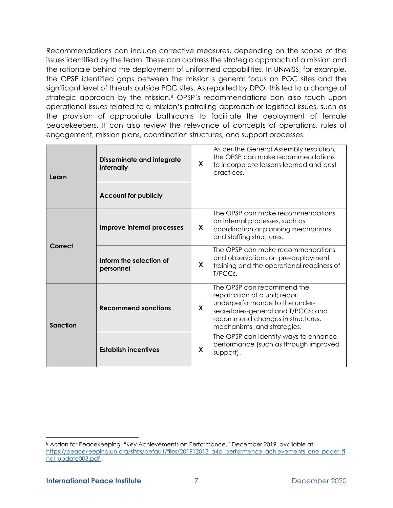Recommendations can include corrective measures, depending on the scope of the issues identified by the team. These can address the strategic approach of a mission and the rationale behind the deployment of uniformed capabilities. In UNMISS, for example, the OPSP identified gaps between the mission's general focus on POC sites and the significant level of threats outside POC sites. As reported by DPO, this led to a change of strategic approach by the mission.<sup>8</sup> OPSP's recommendations can also touch upon operational issues related to a mission's patrolling approach or logistical issues, such as the provision of appropriate bathrooms to facilitate the deployment of female peacekeepers. It can also review the relevance of concepts of operations, rules of engagement, mission plans, coordination structures, and support processes.

| Learn    | <b>Disseminate and integrate</b><br>internally | X           | As per the General Assembly resolution,<br>the OPSP can make recommendations<br>to incorporate lessons learned and best<br>practices.                                                                    |  |  |
|----------|------------------------------------------------|-------------|----------------------------------------------------------------------------------------------------------------------------------------------------------------------------------------------------------|--|--|
|          | <b>Account for publicly</b>                    |             |                                                                                                                                                                                                          |  |  |
| Correct  | Improve internal processes                     | X           | The OPSP can make recommendations<br>on internal processes, such as<br>coordination or planning mechanisms<br>and staffing structures.                                                                   |  |  |
|          | Inform the selection of<br>personnel           | X           | The OPSP can make recommendations<br>and observations on pre-deployment<br>training and the operational readiness of<br>T/PCCs.                                                                          |  |  |
| Sanction | <b>Recommend sanctions</b>                     | $\mathbf x$ | The OPSP can recommend the<br>repatriation of a unit; report<br>underperformance to the under-<br>secretaries-general and T/PCCs; and<br>recommend changes in structures,<br>mechanisms, and strategies. |  |  |
|          | <b>Establish incentives</b>                    | X           | The OPSP can identify ways to enhance<br>performance (such as through improved<br>support).                                                                                                              |  |  |

<sup>8</sup> Action for Peacekeeping, "Key Achievements on Performance," December 2019, available at: [https://peacekeeping.un.org/sites/default/files/201912013\\_a4p\\_performence\\_achievements\\_one\\_pager\\_fi](https://peacekeeping.un.org/sites/default/files/201912013_a4p_performence_achievements_one_pager_final_update003.pdf) [nal\\_update003.pdf](https://peacekeeping.un.org/sites/default/files/201912013_a4p_performence_achievements_one_pager_final_update003.pdf).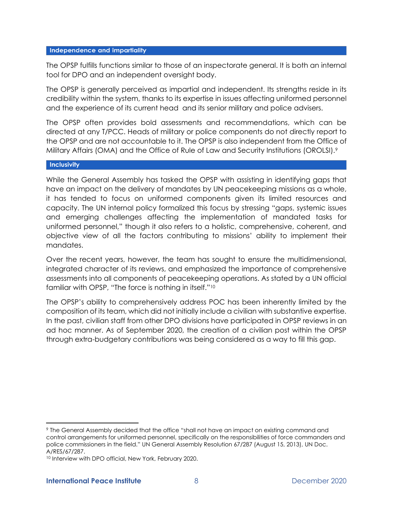## Independence and impartiality

The OPSP fulfills functions similar to those of an inspectorate general. It is both an internal tool for DPO and an independent oversight body.

The OPSP is generally perceived as impartial and independent. Its strengths reside in its credibility within the system, thanks to its expertise in issues affecting uniformed personnel and the experience of its current head and its senior military and police advisers.

The OPSP often provides bold assessments and recommendations, which can be directed at any T/PCC. Heads of military or police components do not directly report to the OPSP and are not accountable to it. The OPSP is also independent from the Office of Military Affairs (OMA) and the Office of Rule of Law and Security Institutions (OROLSI).<sup>9</sup>

## Inclusivity

While the General Assembly has tasked the OPSP with assisting in identifying gaps that have an impact on the delivery of mandates by UN peacekeeping missions as a whole, it has tended to focus on uniformed components given its limited resources and capacity. The UN internal policy formalized this focus by stressing "gaps, systemic issues and emerging challenges affecting the implementation of mandated tasks for uniformed personnel," though it also refers to a holistic, comprehensive, coherent, and objective view of all the factors contributing to missions' ability to implement their mandates.

Over the recent years, however, the team has sought to ensure the multidimensional, integrated character of its reviews, and emphasized the importance of comprehensive assessments into all components of peacekeeping operations. As stated by a UN official familiar with OPSP, "The force is nothing in itself."<sup>10</sup>

The OPSP's ability to comprehensively address POC has been inherently limited by the composition of its team, which did not initially include a civilian with substantive expertise. In the past, civilian staff from other DPO divisions have participated in OPSP reviews in an ad hoc manner. As of September 2020, the creation of a civilian post within the OPSP through extra-budgetary contributions was being considered as a way to fill this gap.

<sup>9</sup> The General Assembly decided that the office "shall not have an impact on existing command and control arrangements for uniformed personnel, specifically on the responsibilities of force commanders and police commissioners in the field." UN General Assembly Resolution 67/287 (August 15, 2013), UN Doc. A/RES/67/287.

<sup>10</sup> Interview with DPO official, New York, February 2020.